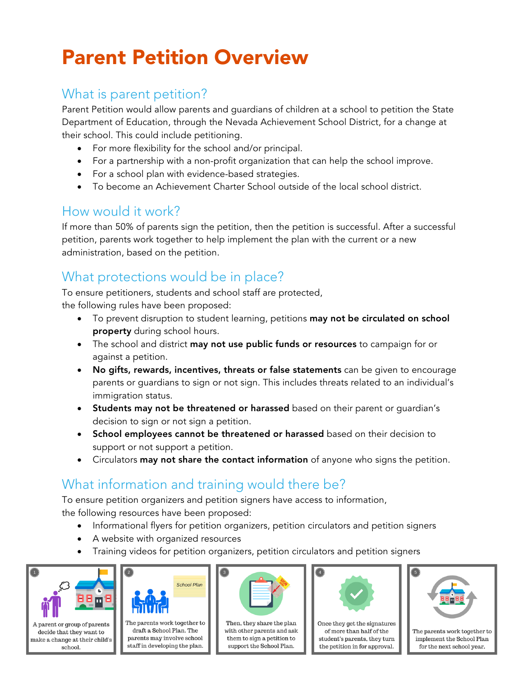# Parent Petition Overview

## What is parent petition?

Parent Petition would allow parents and guardians of children at a school to petition the State Department of Education, through the Nevada Achievement School District, for a change at their school. This could include petitioning.

- For more flexibility for the school and/or principal.
- For a partnership with a non-profit organization that can help the school improve.
- For a school plan with evidence-based strategies.
- To become an Achievement Charter School outside of the local school district.

#### How would it work?

If more than 50% of parents sign the petition, then the petition is successful. After a successful petition, parents work together to help implement the plan with the current or a new administration, based on the petition.

## What protections would be in place?

To ensure petitioners, students and school staff are protected, the following rules have been proposed:

- To prevent disruption to student learning, petitions may not be circulated on school property during school hours.
- The school and district may not use public funds or resources to campaign for or against a petition.
- No gifts, rewards, incentives, threats or false statements can be given to encourage parents or guardians to sign or not sign. This includes threats related to an individual's immigration status.
- Students may not be threatened or harassed based on their parent or guardian's decision to sign or not sign a petition.
- School employees cannot be threatened or harassed based on their decision to support or not support a petition.
- Circulators **may not share the contact information** of anyone who signs the petition.

## What information and training would there be?

To ensure petition organizers and petition signers have access to information, the following resources have been proposed:

- Informational flyers for petition organizers, petition circulators and petition signers
- A website with organized resources
- Training videos for petition organizers, petition circulators and petition signers





The parents work together to draft a School Plan. The  $\,$  parents may involve school staff in developing the plan.



Then, they share the plan with other parents and ask them to sign a petition to support the School Plan.



Once they get the signatures of more than half of the student's parents, they turn the petition in for approval.